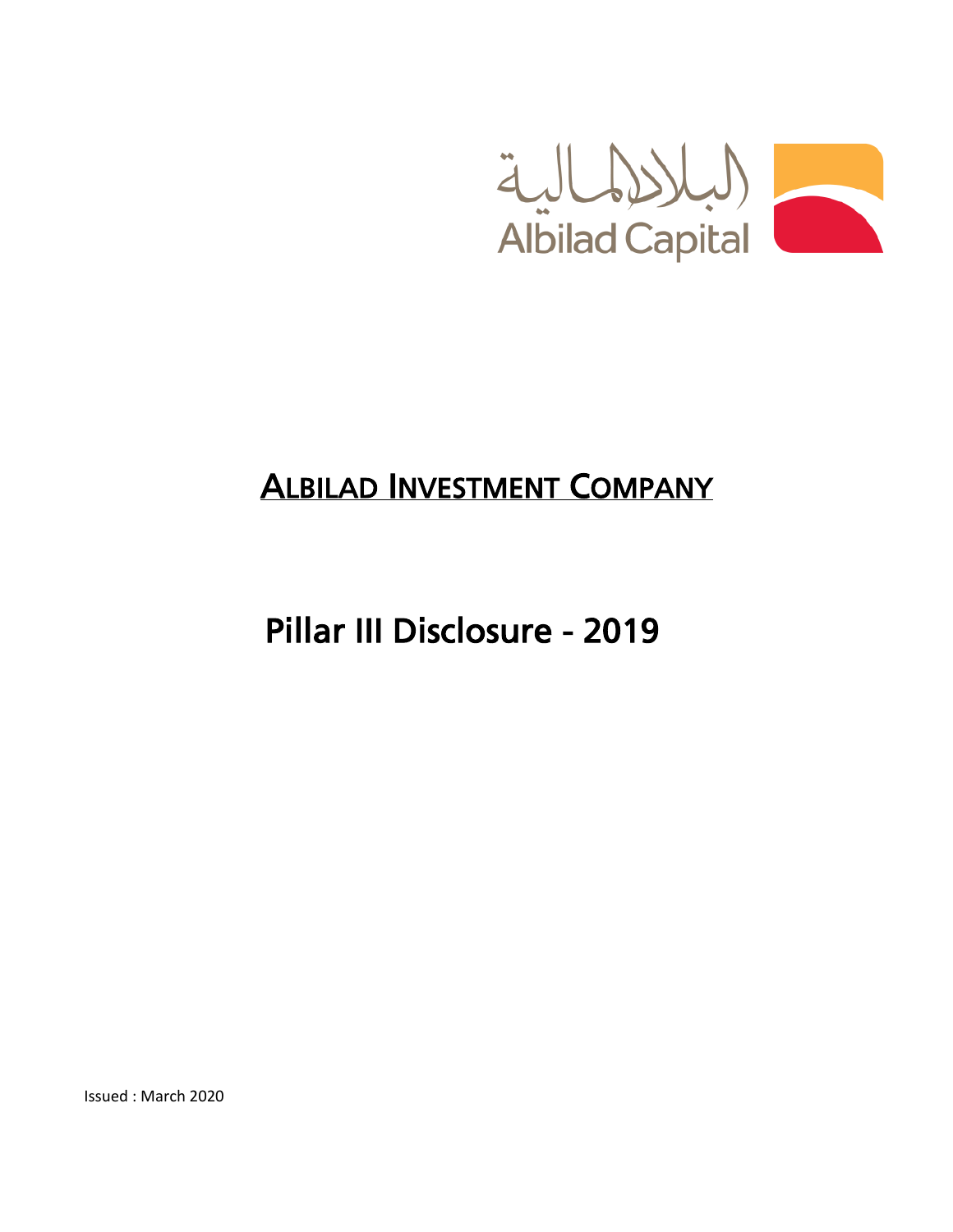

# ALBILAD INVESTMENT COMPANY

Pillar III Disclosure - 2019

Issued : March 2020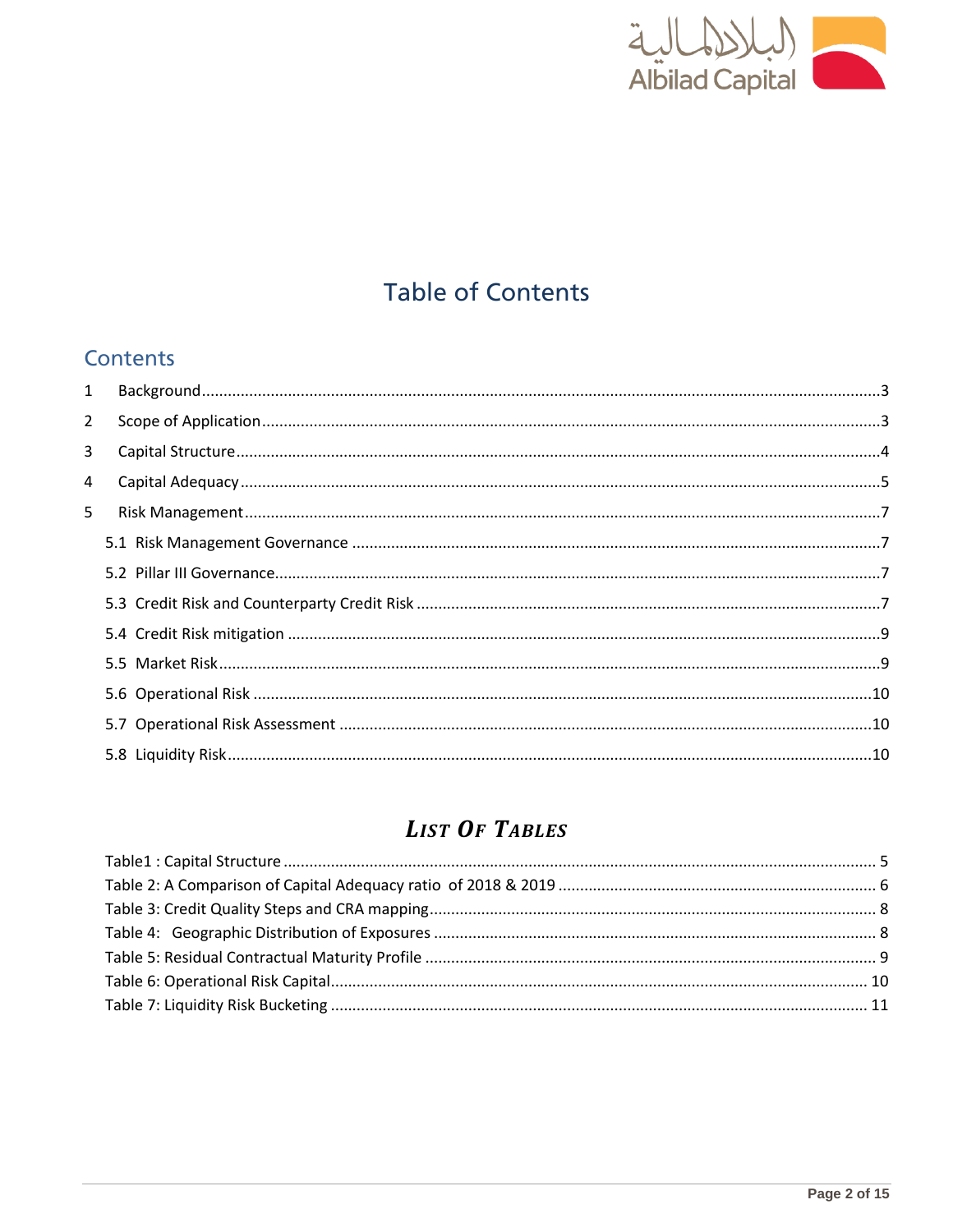

## **Table of Contents**

### **Contents**

| $\mathbf{1}$   |  |
|----------------|--|
| $\overline{2}$ |  |
| 3              |  |
| 4              |  |
| 5              |  |
|                |  |
|                |  |
|                |  |
|                |  |
|                |  |
|                |  |
|                |  |
|                |  |
|                |  |

## **LIST OF TABLES**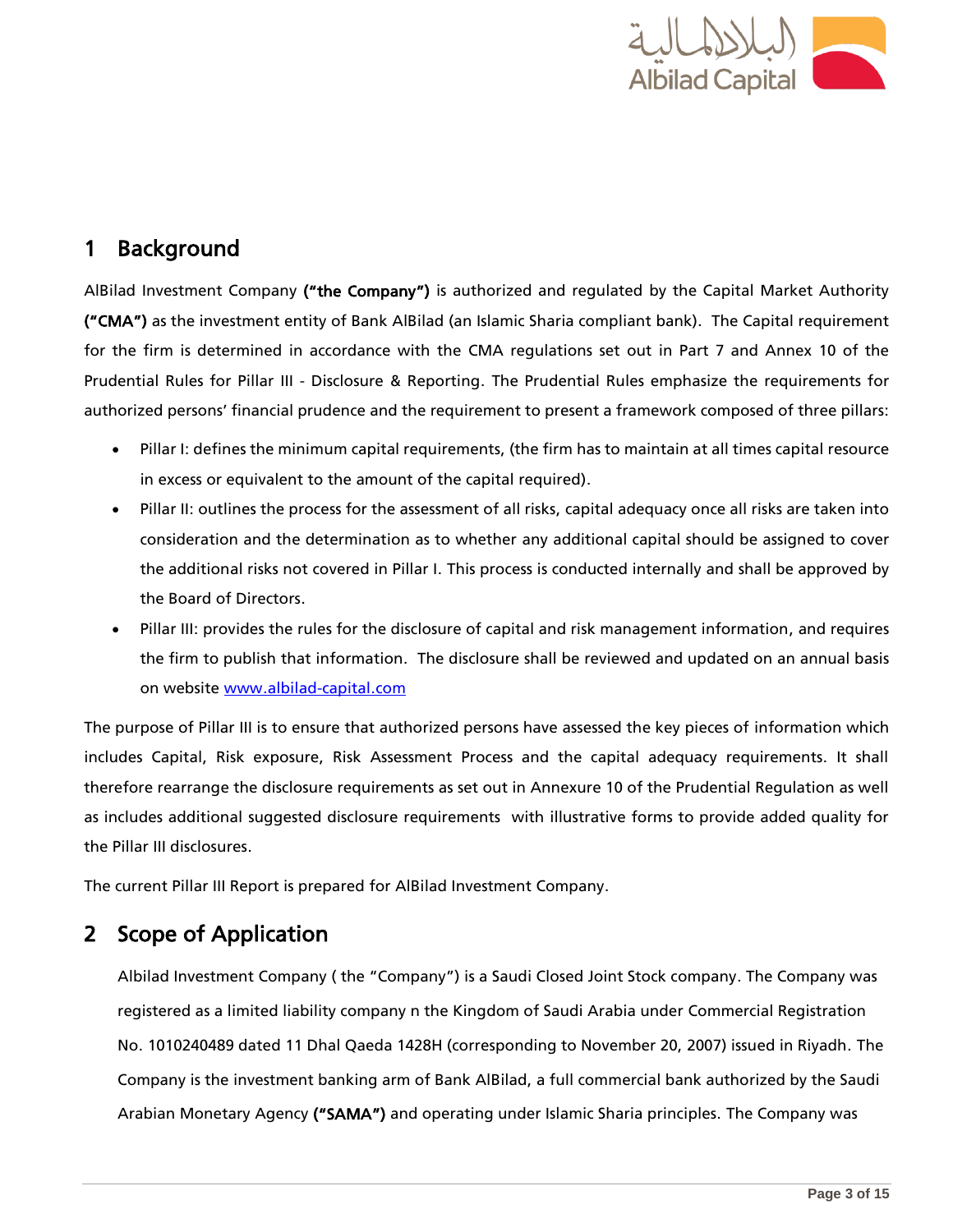

## <span id="page-2-0"></span>1 Background

AlBilad Investment Company ("the Company") is authorized and regulated by the Capital Market Authority ("CMA") as the investment entity of Bank AlBilad (an Islamic Sharia compliant bank). The Capital requirement for the firm is determined in accordance with the CMA regulations set out in Part 7 and Annex 10 of the Prudential Rules for Pillar III - Disclosure & Reporting. The Prudential Rules emphasize the requirements for authorized persons' financial prudence and the requirement to present a framework composed of three pillars:

- Pillar I: defines the minimum capital requirements, (the firm has to maintain at all times capital resource in excess or equivalent to the amount of the capital required).
- Pillar II: outlines the process for the assessment of all risks, capital adequacy once all risks are taken into consideration and the determination as to whether any additional capital should be assigned to cover the additional risks not covered in Pillar I. This process is conducted internally and shall be approved by the Board of Directors.
- Pillar III: provides the rules for the disclosure of capital and risk management information, and requires the firm to publish that information. The disclosure shall be reviewed and updated on an annual basis on website [www.albilad-capital.com](http://www.albilad-capital.com/)

The purpose of Pillar III is to ensure that authorized persons have assessed the key pieces of information which includes Capital, Risk exposure, Risk Assessment Process and the capital adequacy requirements. It shall therefore rearrange the disclosure requirements as set out in Annexure 10 of the Prudential Regulation as well as includes additional suggested disclosure requirements with illustrative forms to provide added quality for the Pillar III disclosures.

The current Pillar III Report is prepared for AlBilad Investment Company.

### <span id="page-2-1"></span>2 Scope of Application

Albilad Investment Company ( the "Company") is a Saudi Closed Joint Stock company. The Company was registered as a limited liability company n the Kingdom of Saudi Arabia under Commercial Registration No. 1010240489 dated 11 Dhal Qaeda 1428H (corresponding to November 20, 2007) issued in Riyadh. The Company is the investment banking arm of Bank AlBilad, a full commercial bank authorized by the Saudi Arabian Monetary Agency ("SAMA") and operating under Islamic Sharia principles. The Company was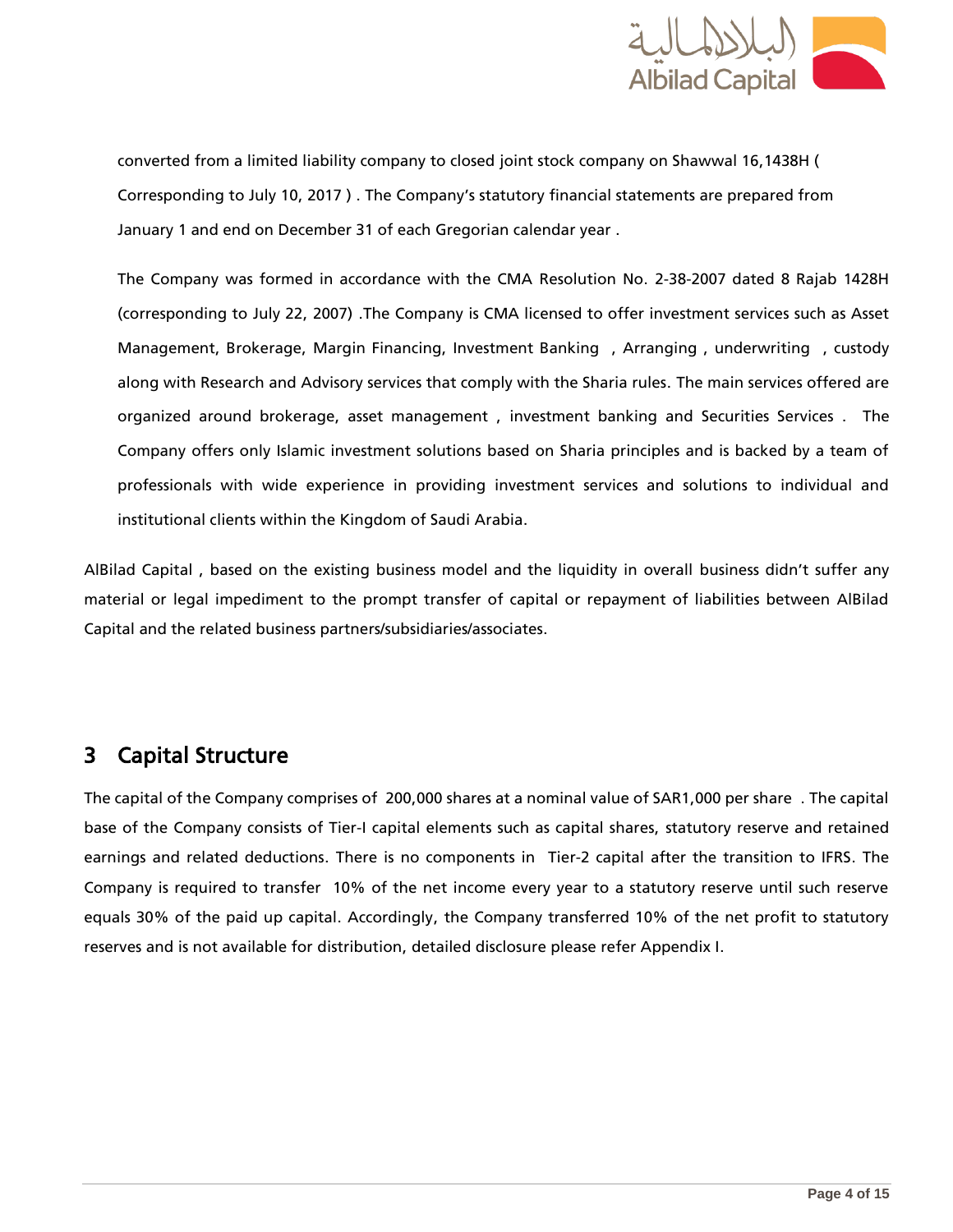

converted from a limited liability company to closed joint stock company on Shawwal 16,1438H ( Corresponding to July 10, 2017 ) . The Company's statutory financial statements are prepared from January 1 and end on December 31 of each Gregorian calendar year .

The Company was formed in accordance with the CMA Resolution No. 2-38-2007 dated 8 Rajab 1428H (corresponding to July 22, 2007) .The Company is CMA licensed to offer investment services such as Asset Management, Brokerage, Margin Financing, Investment Banking , Arranging , underwriting , custody along with Research and Advisory services that comply with the Sharia rules. The main services offered are organized around brokerage, asset management , investment banking and Securities Services . The Company offers only Islamic investment solutions based on Sharia principles and is backed by a team of professionals with wide experience in providing investment services and solutions to individual and institutional clients within the Kingdom of Saudi Arabia.

AlBilad Capital , based on the existing business model and the liquidity in overall business didn't suffer any material or legal impediment to the prompt transfer of capital or repayment of liabilities between AlBilad Capital and the related business partners/subsidiaries/associates.

### <span id="page-3-0"></span>3 Capital Structure

The capital of the Company comprises of 200,000 shares at a nominal value of SAR1,000 per share . The capital base of the Company consists of Tier-I capital elements such as capital shares, statutory reserve and retained earnings and related deductions. There is no components in Tier-2 capital after the transition to IFRS. The Company is required to transfer 10% of the net income every year to a statutory reserve until such reserve equals 30% of the paid up capital. Accordingly, the Company transferred 10% of the net profit to statutory reserves and is not available for distribution, detailed disclosure please refer Appendix I.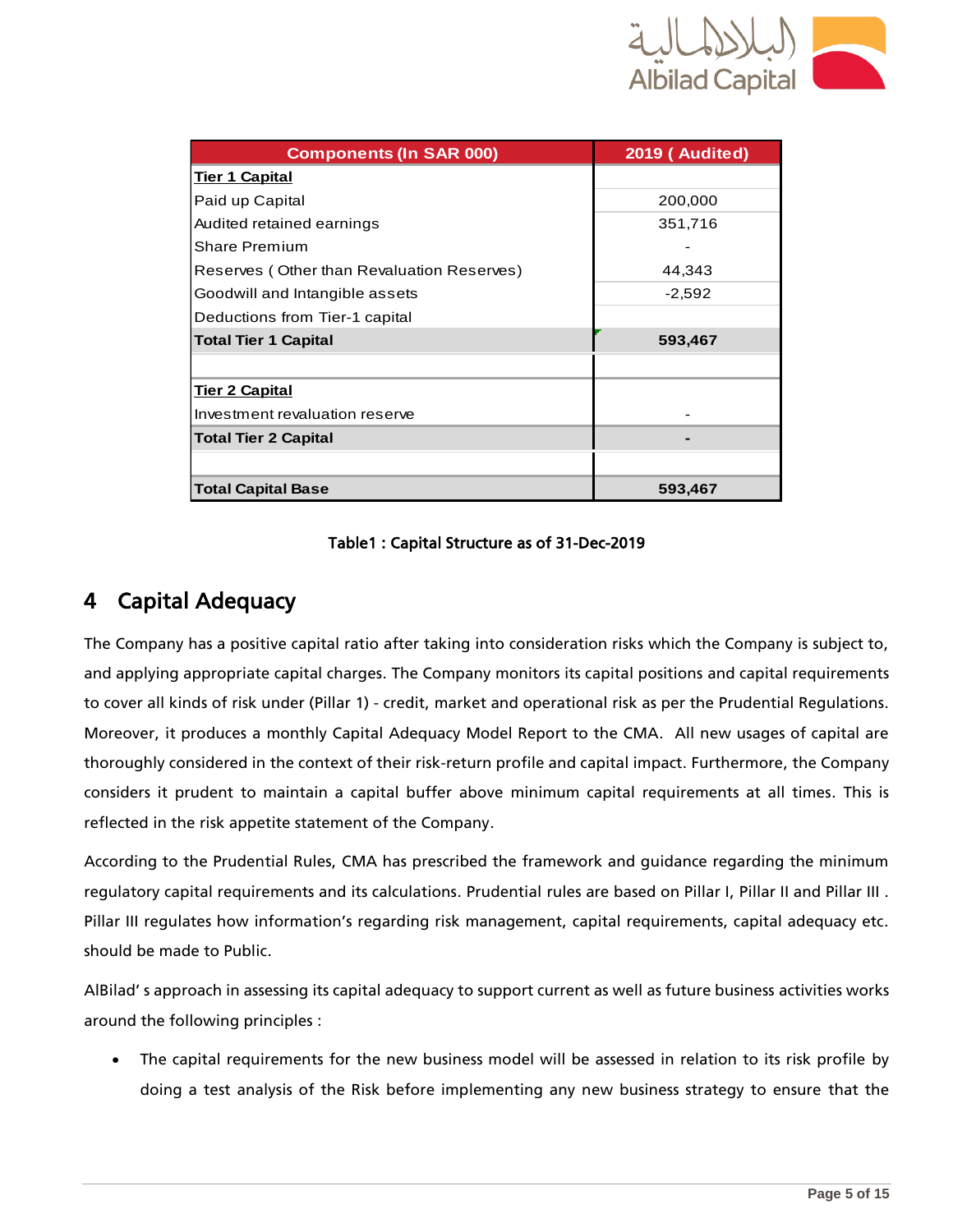

<span id="page-4-1"></span>

| <b>Components (In SAR 000)</b>             | <b>2019 (Audited)</b> |  |  |
|--------------------------------------------|-----------------------|--|--|
| <b>Tier 1 Capital</b>                      |                       |  |  |
| Paid up Capital                            | 200,000               |  |  |
| Audited retained earnings                  | 351,716               |  |  |
| Share Premium                              |                       |  |  |
| Reserves (Other than Revaluation Reserves) | 44,343                |  |  |
| Goodwill and Intangible assets             | $-2,592$              |  |  |
| Deductions from Tier-1 capital             |                       |  |  |
| <b>Total Tier 1 Capital</b>                | 593,467               |  |  |
|                                            |                       |  |  |
| <b>Tier 2 Capital</b>                      |                       |  |  |
| Investment revaluation reserve             |                       |  |  |
| <b>Total Tier 2 Capital</b>                |                       |  |  |
|                                            |                       |  |  |
| <b>Total Capital Base</b>                  | 593,467               |  |  |

#### Table1 : Capital Structure as of 31-Dec-2019

### <span id="page-4-0"></span>4 Capital Adequacy

The Company has a positive capital ratio after taking into consideration risks which the Company is subject to, and applying appropriate capital charges. The Company monitors its capital positions and capital requirements to cover all kinds of risk under (Pillar 1) - credit, market and operational risk as per the Prudential Regulations. Moreover, it produces a monthly Capital Adequacy Model Report to the CMA. All new usages of capital are thoroughly considered in the context of their risk-return profile and capital impact. Furthermore, the Company considers it prudent to maintain a capital buffer above minimum capital requirements at all times. This is reflected in the risk appetite statement of the Company.

According to the Prudential Rules, CMA has prescribed the framework and guidance regarding the minimum regulatory capital requirements and its calculations. Prudential rules are based on Pillar I, Pillar II and Pillar III . Pillar III regulates how information's regarding risk management, capital requirements, capital adequacy etc. should be made to Public.

AlBilad' s approach in assessing its capital adequacy to support current as well as future business activities works around the following principles :

 The capital requirements for the new business model will be assessed in relation to its risk profile by doing a test analysis of the Risk before implementing any new business strategy to ensure that the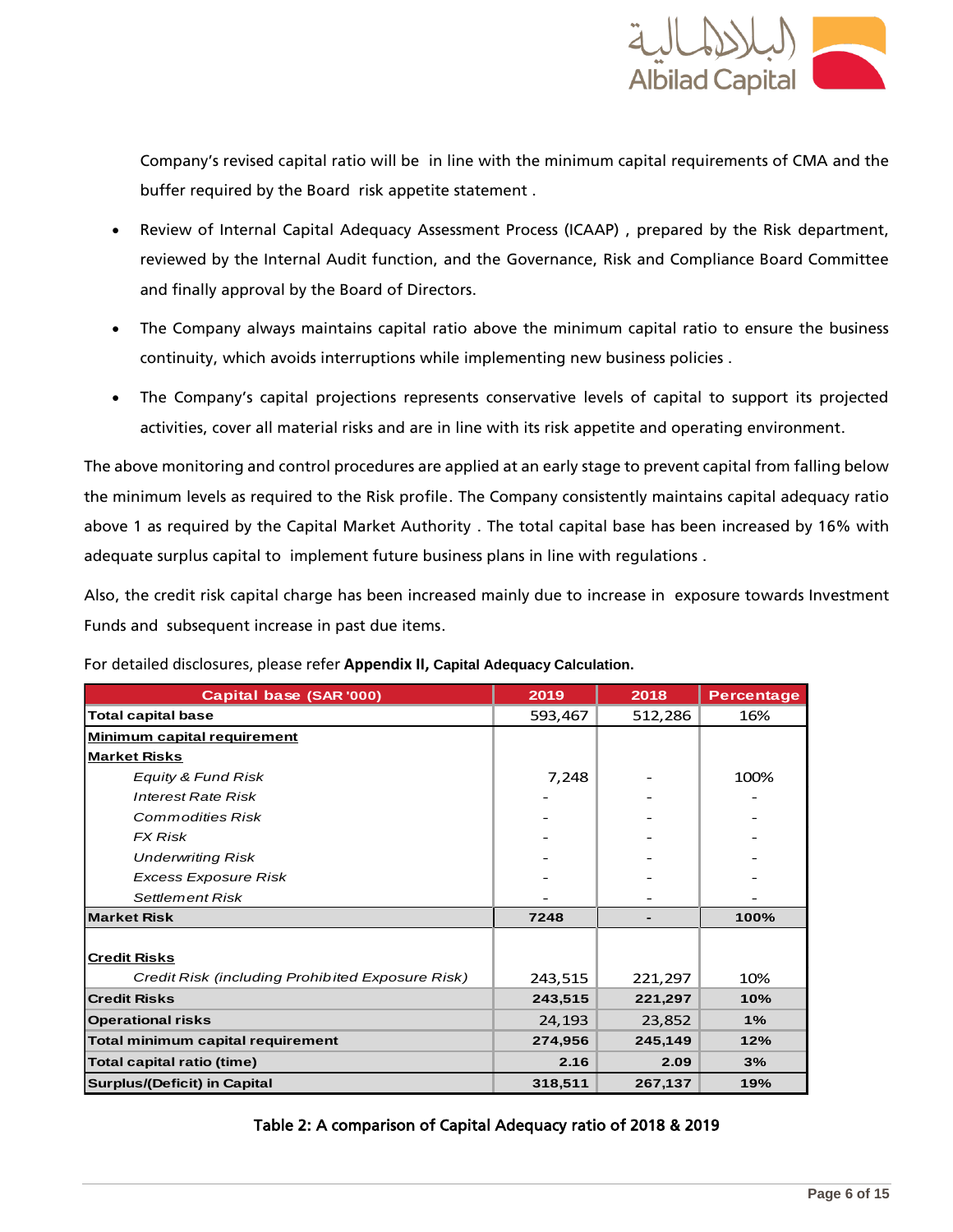

Company's revised capital ratio will be in line with the minimum capital requirements of CMA and the buffer required by the Board risk appetite statement .

- Review of Internal Capital Adequacy Assessment Process (ICAAP) , prepared by the Risk department, reviewed by the Internal Audit function, and the Governance, Risk and Compliance Board Committee and finally approval by the Board of Directors.
- The Company always maintains capital ratio above the minimum capital ratio to ensure the business continuity, which avoids interruptions while implementing new business policies .
- The Company's capital projections represents conservative levels of capital to support its projected activities, cover all material risks and are in line with its risk appetite and operating environment.

The above monitoring and control procedures are applied at an early stage to prevent capital from falling below the minimum levels as required to the Risk profile. The Company consistently maintains capital adequacy ratio above 1 as required by the Capital Market Authority . The total capital base has been increased by 16% with adequate surplus capital to implement future business plans in line with regulations .

Also, the credit risk capital charge has been increased mainly due to increase in exposure towards Investment Funds and subsequent increase in past due items.

| Capital base (SAR '000)                          | 2019    | 2018    | <b>Percentage</b> |
|--------------------------------------------------|---------|---------|-------------------|
| <b>Total capital base</b>                        | 593,467 | 512,286 | 16%               |
| <b>Minimum capital requirement</b>               |         |         |                   |
| <b>Market Risks</b>                              |         |         |                   |
| Equity & Fund Risk                               | 7,248   |         | 100%              |
| <b>Interest Rate Risk</b>                        |         |         |                   |
| <b>Commodities Risk</b>                          |         |         |                   |
| <b>FX Risk</b>                                   |         |         |                   |
| <b>Underwriting Risk</b>                         |         |         |                   |
| <b>Excess Exposure Risk</b>                      |         |         |                   |
| <b>Settlement Risk</b>                           |         |         |                   |
| <b>Market Risk</b>                               | 7248    |         | 100%              |
|                                                  |         |         |                   |
| <b>Credit Risks</b>                              |         |         |                   |
| Credit Risk (including Prohibited Exposure Risk) | 243,515 | 221,297 | 10%               |
| <b>Credit Risks</b>                              | 243,515 | 221,297 | 10%               |
| <b>Operational risks</b>                         | 24,193  | 23,852  | 1%                |
| Total minimum capital requirement                | 274,956 | 245,149 | 12%               |
| Total capital ratio (time)                       | 2.16    | 2.09    | 3%                |
| <b>Surplus/(Deficit) in Capital</b>              | 318,511 | 267,137 | 19%               |

For detailed disclosures, please refer **Appendix II, Capital Adequacy Calculation.**

#### <span id="page-5-0"></span>Table 2: A comparison of Capital Adequacy ratio of 2018 & 2019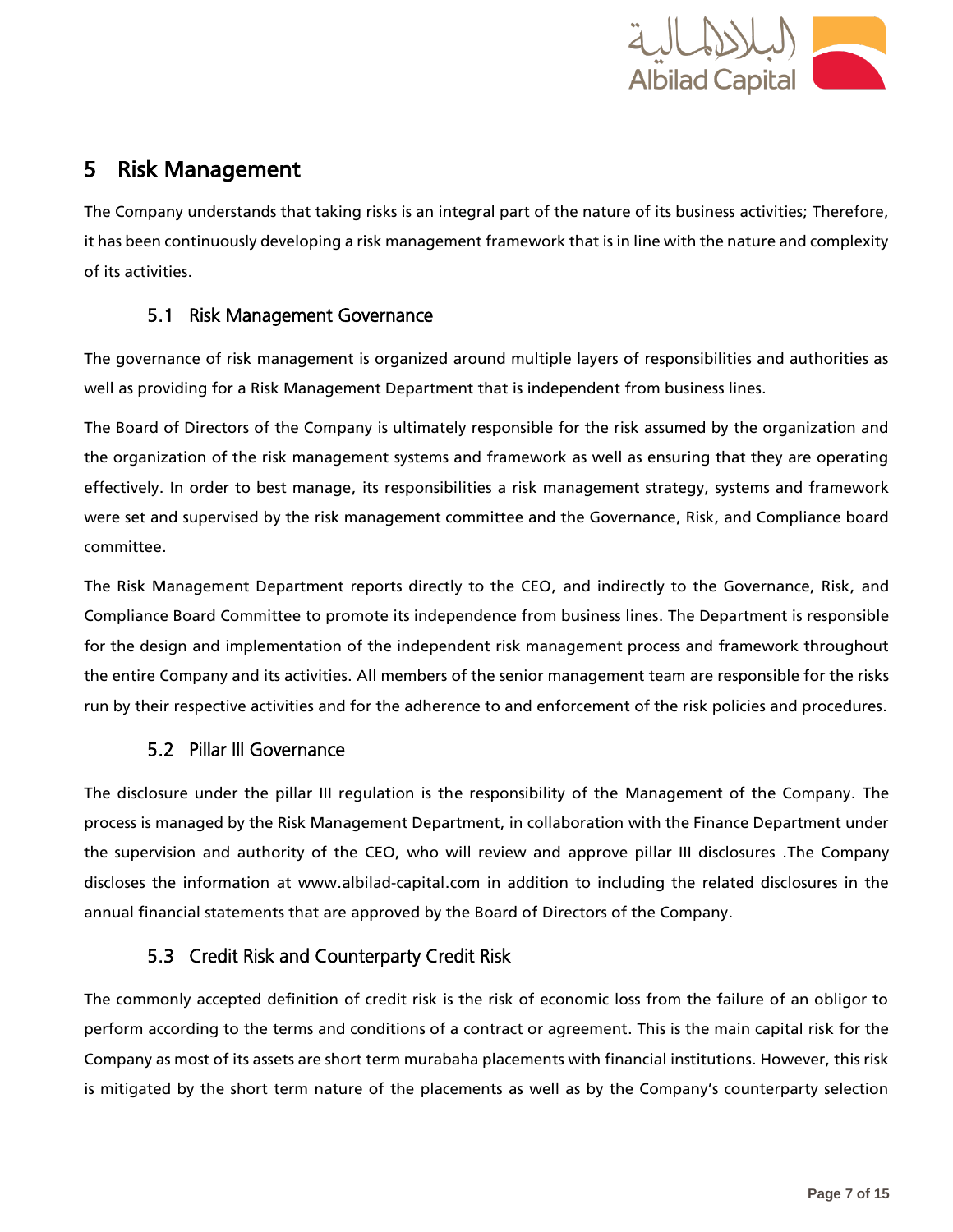

### <span id="page-6-0"></span>5 Risk Management

The Company understands that taking risks is an integral part of the nature of its business activities; Therefore, it has been continuously developing a risk management framework that is in line with the nature and complexity of its activities.

#### 5.1 Risk Management Governance

<span id="page-6-1"></span>The governance of risk management is organized around multiple layers of responsibilities and authorities as well as providing for a Risk Management Department that is independent from business lines.

The Board of Directors of the Company is ultimately responsible for the risk assumed by the organization and the organization of the risk management systems and framework as well as ensuring that they are operating effectively. In order to best manage, its responsibilities a risk management strategy, systems and framework were set and supervised by the risk management committee and the Governance, Risk, and Compliance board committee.

The Risk Management Department reports directly to the CEO, and indirectly to the Governance, Risk, and Compliance Board Committee to promote its independence from business lines. The Department is responsible for the design and implementation of the independent risk management process and framework throughout the entire Company and its activities. All members of the senior management team are responsible for the risks run by their respective activities and for the adherence to and enforcement of the risk policies and procedures.

#### 5.2 Pillar III Governance

<span id="page-6-2"></span>The disclosure under the pillar III regulation is the responsibility of the Management of the Company. The process is managed by the Risk Management Department, in collaboration with the Finance Department under the supervision and authority of the CEO, who will review and approve pillar III disclosures .The Company discloses the information at [www.albilad-capital.com](http://www.albilad-capital.com/) in addition to including the related disclosures in the annual financial statements that are approved by the Board of Directors of the Company.

#### 5.3 Credit Risk and Counterparty Credit Risk

<span id="page-6-3"></span>The commonly accepted definition of credit risk is the risk of economic loss from the failure of an obligor to perform according to the terms and conditions of a contract or agreement. This is the main capital risk for the Company as most of its assets are short term murabaha placements with financial institutions. However, this risk is mitigated by the short term nature of the placements as well as by the Company's counterparty selection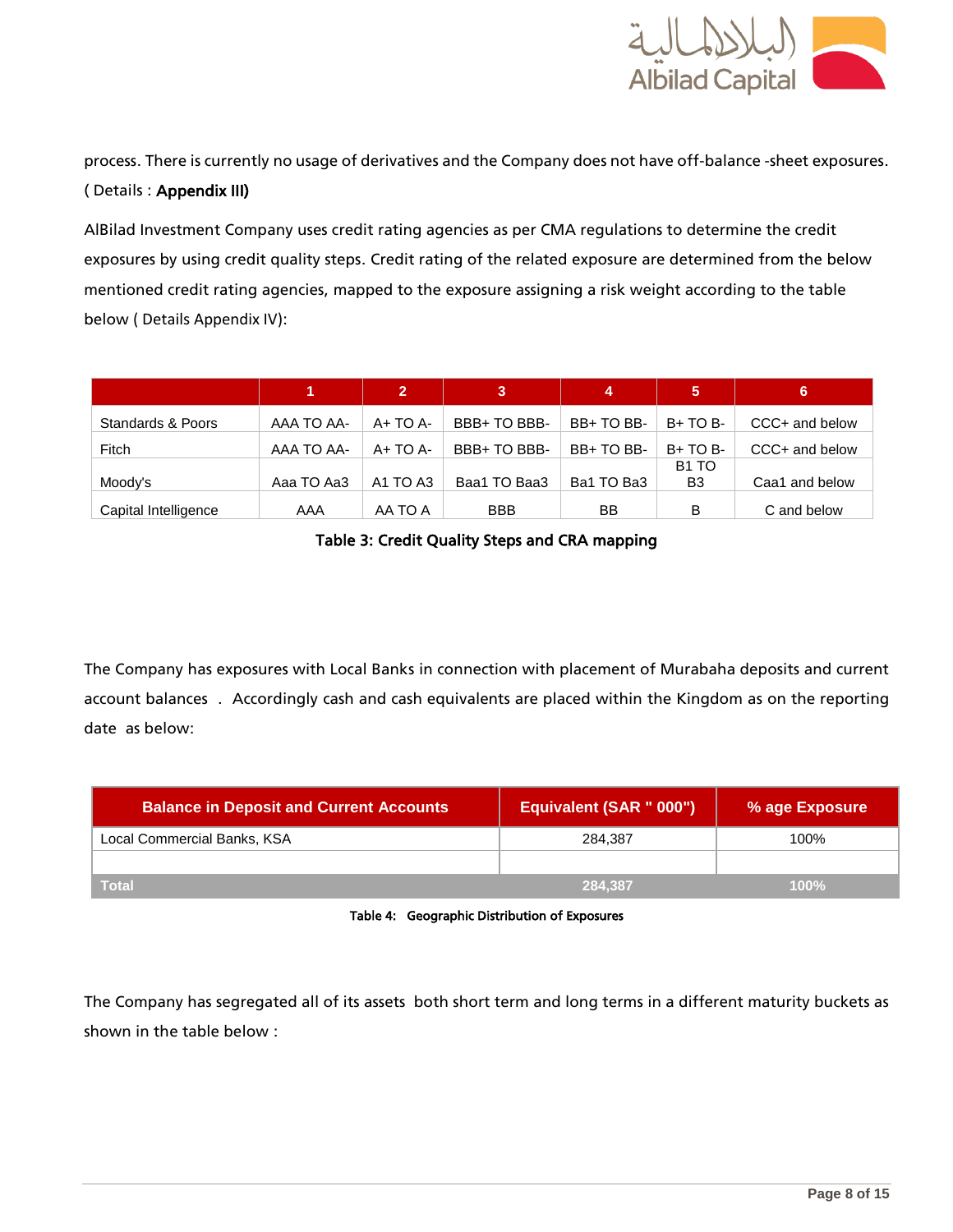

process. There is currently no usage of derivatives and the Company does not have off-balance -sheet exposures. ( Details : Appendix III)

AlBilad Investment Company uses credit rating agencies as per CMA regulations to determine the credit exposures by using credit quality steps. Credit rating of the related exposure are determined from the below mentioned credit rating agencies, mapped to the exposure assigning a risk weight according to the table below ( Details Appendix IV):

|                      | 1.         | $\mathbf{2}$                     | 3            | 4          | 5                 | Ι6,            |
|----------------------|------------|----------------------------------|--------------|------------|-------------------|----------------|
| Standards & Poors    | AAA TO AA- | $A+TOA-$                         | BBB+ TO BBB- | BB+TO BB-  | $B+TOB-$          | CCC+ and below |
| Fitch                | AAA TO AA- | $A+TOA-$                         | BBB+ TO BBB- | BB+TO BB-  | $B+TOB-$          | CCC+ and below |
|                      |            |                                  |              |            | B <sub>1</sub> TO |                |
| Moody's              | Aaa TO Aa3 | A <sub>1</sub> TO A <sub>3</sub> | Baa1 TO Baa3 | Ba1 TO Ba3 | B <sub>3</sub>    | Caa1 and below |
| Capital Intelligence | AAA        | AA TO A                          | <b>BBB</b>   | BB         | в                 | C and below    |

Table 3: Credit Quality Steps and CRA mapping

<span id="page-7-0"></span>The Company has exposures with Local Banks in connection with placement of Murabaha deposits and current account balances . Accordingly cash and cash equivalents are placed within the Kingdom as on the reporting date as below:

| <b>Balance in Deposit and Current Accounts</b> | Equivalent (SAR " 000") | % age Exposure |
|------------------------------------------------|-------------------------|----------------|
| Local Commercial Banks, KSA                    | 284.387                 | 100%           |
|                                                |                         |                |
| <b>Total</b>                                   | 284.387                 | 100%           |



<span id="page-7-1"></span>The Company has segregated all of its assets both short term and long terms in a different maturity buckets as shown in the table below :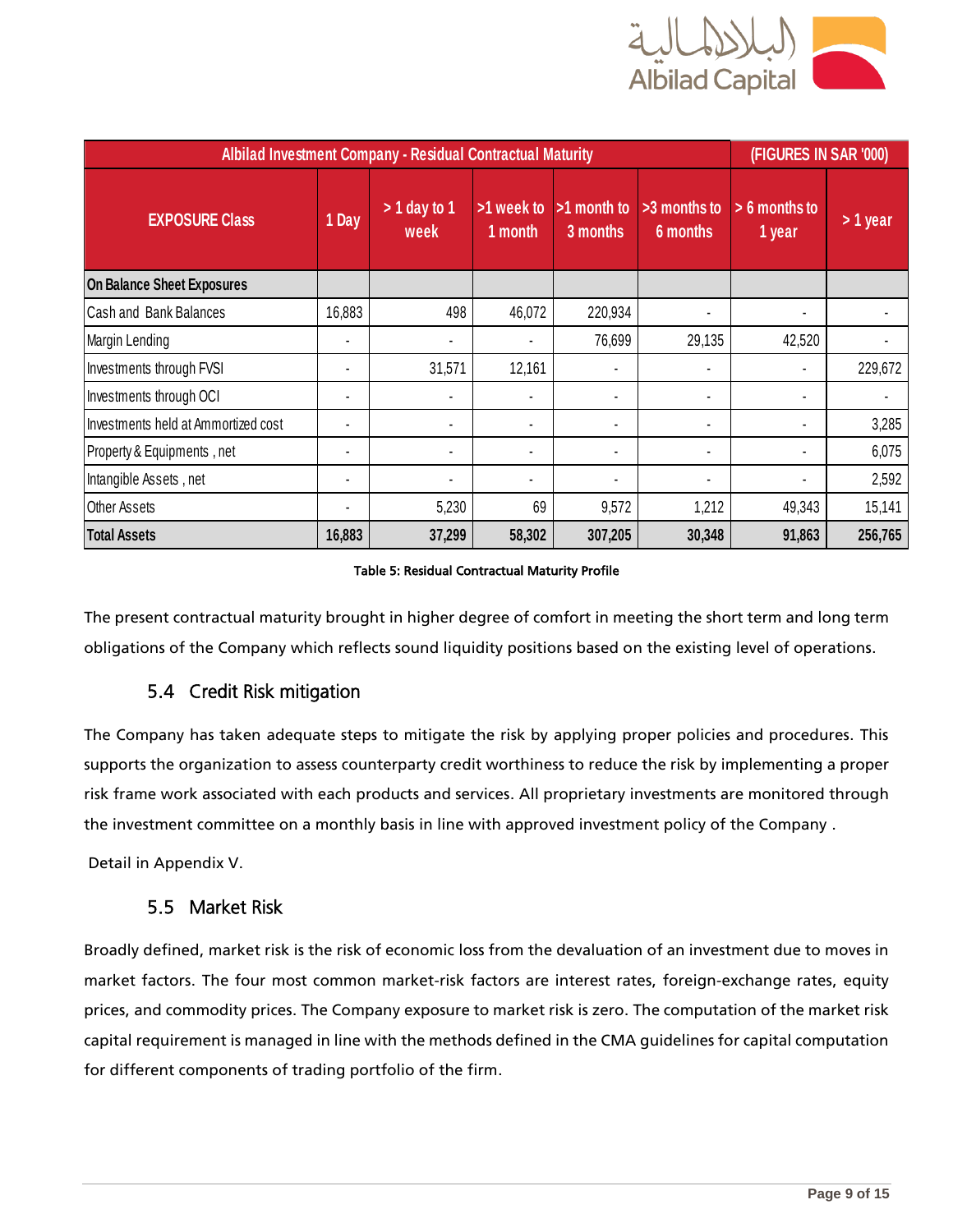

<span id="page-8-2"></span>

| <b>Albilad Investment Company - Residual Contractual Maturity</b> |                |                        |                       |                         |                          | (FIGURES IN SAR '000)     |          |
|-------------------------------------------------------------------|----------------|------------------------|-----------------------|-------------------------|--------------------------|---------------------------|----------|
| <b>EXPOSURE Class</b>                                             | 1 Day          | $> 1$ day to 1<br>week | >1 week to<br>1 month | >1 month to<br>3 months | >3 months to<br>6 months | $> 6$ months to<br>1 year | > 1 year |
| <b>On Balance Sheet Exposures</b>                                 |                |                        |                       |                         |                          |                           |          |
| Cash and Bank Balances                                            | 16,883         | 498                    | 46,072                | 220,934                 |                          |                           |          |
| Margin Lending                                                    |                |                        |                       | 76,699                  | 29,135                   | 42,520                    |          |
| Investments through FVSI                                          |                | 31,571                 | 12,161                | $\blacksquare$          |                          |                           | 229,672  |
| Investments through OCI                                           | $\blacksquare$ |                        | $\blacksquare$        | $\blacksquare$          |                          |                           |          |
| Investments held at Ammortized cost                               |                |                        | $\blacksquare$        |                         |                          |                           | 3,285    |
| Property & Equipments, net                                        |                |                        | $\blacksquare$        | $\blacksquare$          |                          |                           | 6,075    |
| Intangible Assets, net                                            | $\blacksquare$ |                        | $\blacksquare$        | $\blacksquare$          |                          |                           | 2,592    |
| <b>Other Assets</b>                                               |                | 5,230                  | 69                    | 9,572                   | 1,212                    | 49,343                    | 15,141   |
| <b>Total Assets</b>                                               | 16,883         | 37,299                 | 58,302                | 307,205                 | 30,348                   | 91,863                    | 256,765  |

#### Table 5: Residual Contractual Maturity Profile

<span id="page-8-0"></span>The present contractual maturity brought in higher degree of comfort in meeting the short term and long term obligations of the Company which reflects sound liquidity positions based on the existing level of operations.

#### 5.4 Credit Risk mitigation

The Company has taken adequate steps to mitigate the risk by applying proper policies and procedures. This supports the organization to assess counterparty credit worthiness to reduce the risk by implementing a proper risk frame work associated with each products and services. All proprietary investments are monitored through the investment committee on a monthly basis in line with approved investment policy of the Company .

<span id="page-8-1"></span>Detail in Appendix V.

#### 5.5 Market Risk

Broadly defined, market risk is the risk of economic loss from the devaluation of an investment due to moves in market factors. The four most common market-risk factors are interest rates, foreign-exchange rates, equity prices, and commodity prices. The Company exposure to market risk is zero. The computation of the market risk capital requirement is managed in line with the methods defined in the CMA guidelines for capital computation for different components of trading portfolio of the firm.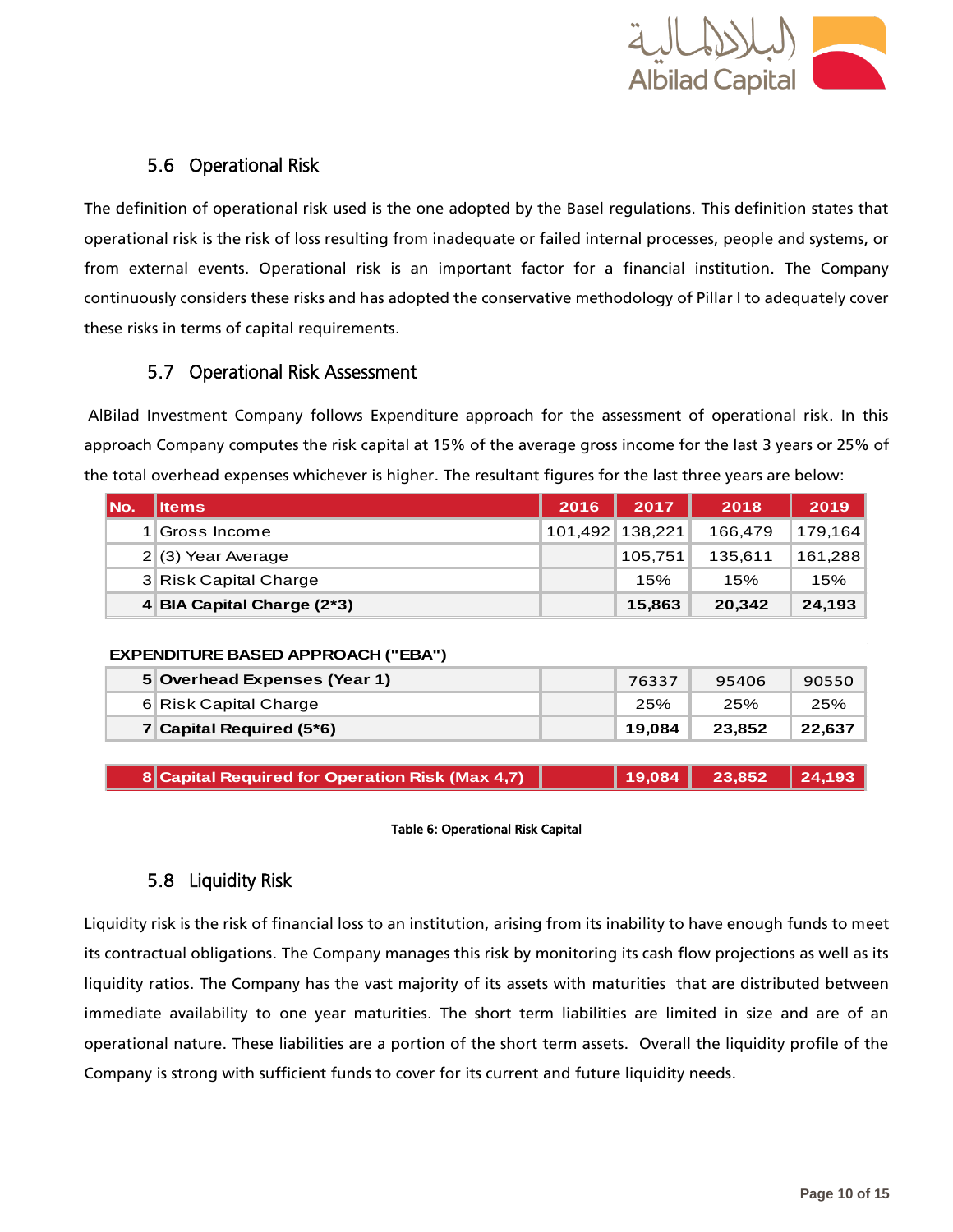

#### 5.6 Operational Risk

<span id="page-9-0"></span>The definition of operational risk used is the one adopted by the Basel regulations. This definition states that operational risk is the risk of loss resulting from inadequate or failed internal processes, people and systems, or from external events. Operational risk is an important factor for a financial institution. The Company continuously considers these risks and has adopted the conservative methodology of Pillar I to adequately cover these risks in terms of capital requirements.

#### 5.7 Operational Risk Assessment

<span id="page-9-1"></span>AlBilad Investment Company follows Expenditure approach for the assessment of operational risk. In this approach Company computes the risk capital at 15% of the average gross income for the last 3 years or 25% of the total overhead expenses whichever is higher. The resultant figures for the last three years are below:

<span id="page-9-3"></span>

| l No. | lltems                     | 2016 | 2017            | 2018    | 2019    |
|-------|----------------------------|------|-----------------|---------|---------|
|       | <b>S</b> Gross Income      |      | 101,492 138,221 | 166.479 | 179,164 |
|       | $2(3)$ Year Average        |      | 105.751         | 135.611 | 161,288 |
|       | 3 Risk Capital Charge      |      | 15%             | 15%     | 15%     |
|       | 4 BIA Capital Charge (2*3) |      | 15,863          | 20,342  | 24,193  |

#### **EXPENDITURE BASED APPROACH ("EBA")**

| 25%<br>25%                                     |        |
|------------------------------------------------|--------|
| 6 Risk Capital Charge                          | 25%    |
| 7 Capital Required $(5*6)$<br>19.084<br>23.852 | 22.637 |

| 8 Capital Required for Operation Risk (Max 4,7) |  | 19,084   23,852   24,193 |  |
|-------------------------------------------------|--|--------------------------|--|
|-------------------------------------------------|--|--------------------------|--|

#### Table 6: Operational Risk Capital

#### 5.8 Liquidity Risk

<span id="page-9-2"></span>Liquidity risk is the risk of financial loss to an institution, arising from its inability to have enough funds to meet its contractual obligations. The Company manages this risk by monitoring its cash flow projections as well as its liquidity ratios. The Company has the vast majority of its assets with maturities that are distributed between immediate availability to one year maturities. The short term liabilities are limited in size and are of an operational nature. These liabilities are a portion of the short term assets. Overall the liquidity profile of the Company is strong with sufficient funds to cover for its current and future liquidity needs.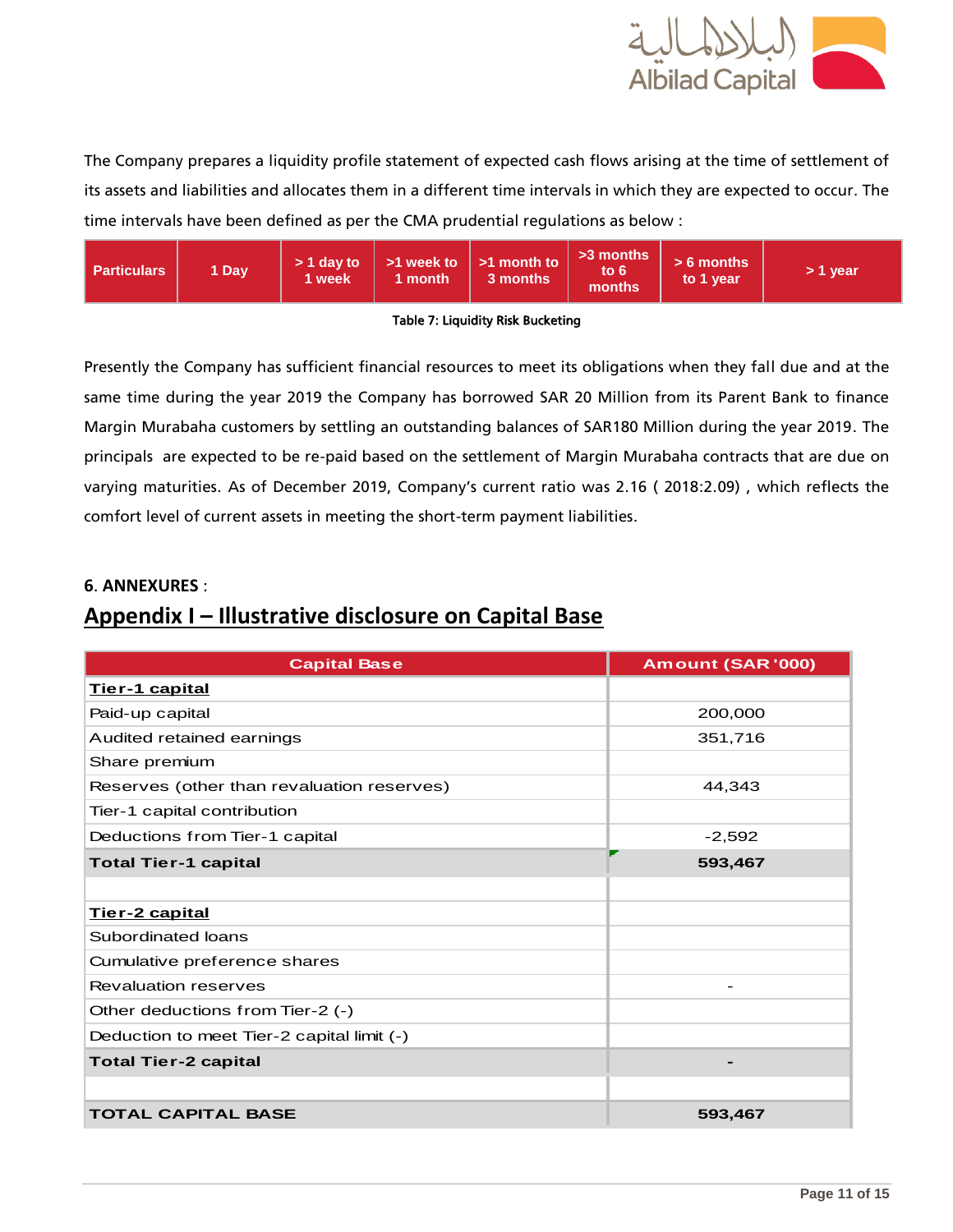

The Company prepares a liquidity profile statement of expected cash flows arising at the time of settlement of its assets and liabilities and allocates them in a different time intervals in which they are expected to occur. The time intervals have been defined as per the CMA prudential regulations as below :



#### Table 7: Liquidity Risk Bucketing

<span id="page-10-0"></span>Presently the Company has sufficient financial resources to meet its obligations when they fall due and at the same time during the year 2019 the Company has borrowed SAR 20 Million from its Parent Bank to finance Margin Murabaha customers by settling an outstanding balances of SAR180 Million during the year 2019. The principals are expected to be re-paid based on the settlement of Margin Murabaha contracts that are due on varying maturities. As of December 2019, Company's current ratio was 2.16 ( 2018:2.09) , which reflects the comfort level of current assets in meeting the short-term payment liabilities.

#### **6**. **ANNEXURES** :

### **Appendix I – Illustrative disclosure on Capital Base**

| <b>Capital Base</b>                        | Amount (SAR '000) |
|--------------------------------------------|-------------------|
| Tier-1 capital                             |                   |
| Paid-up capital                            | 200,000           |
| Audited retained earnings                  | 351,716           |
| Share premium                              |                   |
| Reserves (other than revaluation reserves) | 44,343            |
| Tier-1 capital contribution                |                   |
| Deductions from Tier-1 capital             | $-2,592$          |
| <b>Total Tier-1 capital</b>                | 593,467           |
|                                            |                   |
| Tier-2 capital                             |                   |
| Subordinated loans                         |                   |
| Cumulative preference shares               |                   |
| <b>Revaluation reserves</b>                |                   |
| Other deductions from Tier-2 (-)           |                   |
| Deduction to meet Tier-2 capital limit (-) |                   |
| <b>Total Tier-2 capital</b>                |                   |
|                                            |                   |
| <b>TOTAL CAPITAL BASE</b>                  | 593,467           |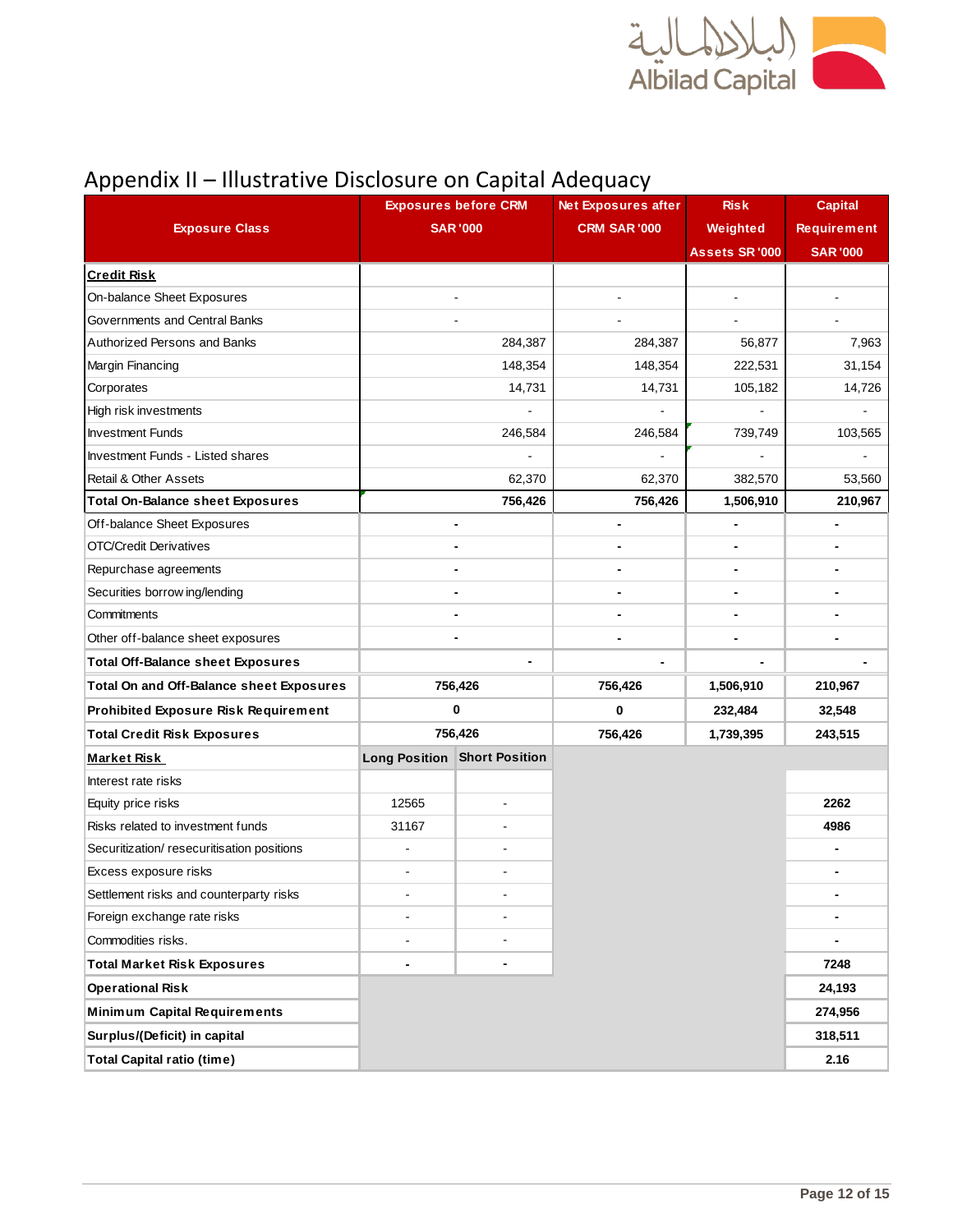

## Appendix II – Illustrative Disclosure on Capital Adequacy

|                                             |                 | <b>Exposures before CRM</b>         | <b>Net Exposures after</b> | <b>Risk</b>           | <b>Capital</b>     |
|---------------------------------------------|-----------------|-------------------------------------|----------------------------|-----------------------|--------------------|
| <b>Exposure Class</b>                       | <b>SAR '000</b> |                                     | <b>CRM SAR '000</b>        | Weighted              | <b>Requirement</b> |
|                                             |                 |                                     |                            | <b>Assets SR '000</b> | <b>SAR '000</b>    |
| <b>Credit Risk</b>                          |                 |                                     |                            |                       |                    |
| On-balance Sheet Exposures                  |                 |                                     |                            | $\overline{a}$        |                    |
| Governments and Central Banks               |                 |                                     |                            |                       |                    |
| Authorized Persons and Banks                |                 | 284,387                             | 284,387                    | 56,877                | 7,963              |
| Margin Financing                            |                 | 148,354                             | 148,354                    | 222,531               | 31,154             |
| Corporates                                  |                 | 14,731                              | 14,731                     | 105,182               | 14,726             |
| High risk investments                       |                 |                                     |                            |                       |                    |
| <b>Investment Funds</b>                     |                 | 246,584                             | 246,584                    | 739,749               | 103,565            |
| <b>Investment Funds - Listed shares</b>     |                 |                                     |                            |                       |                    |
| <b>Retail &amp; Other Assets</b>            |                 | 62,370                              | 62,370                     | 382,570               | 53,560             |
| <b>Total On-Balance sheet Exposures</b>     |                 | 756,426                             | 756,426                    | 1,506,910             | 210,967            |
| Off-balance Sheet Exposures                 |                 | $\qquad \qquad \blacksquare$        |                            | $\blacksquare$        |                    |
| OTC/Credit Derivatives                      |                 |                                     |                            |                       |                    |
| Repurchase agreements                       |                 |                                     |                            | $\blacksquare$        |                    |
| Securities borrow ing/lending               |                 |                                     |                            |                       |                    |
| Commitments                                 |                 |                                     |                            |                       |                    |
| Other off-balance sheet exposures           |                 |                                     |                            |                       |                    |
| <b>Total Off-Balance sheet Exposures</b>    |                 |                                     |                            |                       |                    |
| Total On and Off-Balance sheet Exposures    |                 | 756,426                             | 756,426                    | 1,506,910             | 210,967            |
| <b>Prohibited Exposure Risk Requirement</b> |                 | 0                                   | 0                          | 232,484               | 32,548             |
| <b>Total Credit Risk Exposures</b>          |                 | 756,426                             | 756,426                    | 1,739,395             | 243,515            |
| <b>Market Risk</b>                          |                 | <b>Long Position Short Position</b> |                            |                       |                    |
| Interest rate risks                         |                 |                                     |                            |                       |                    |
| Equity price risks                          | 12565           | $\blacksquare$                      |                            |                       | 2262               |
| Risks related to investment funds           | 31167           |                                     |                            |                       | 4986               |
| Securitization/ resecuritisation positions  |                 |                                     |                            |                       |                    |
| Excess exposure risks                       |                 |                                     |                            |                       |                    |
| Settlement risks and counterparty risks     |                 |                                     |                            |                       |                    |
| Foreign exchange rate risks                 |                 |                                     |                            |                       |                    |
| Commodities risks.                          |                 |                                     |                            |                       |                    |
| <b>Total Market Risk Exposures</b>          |                 |                                     |                            |                       | 7248               |
| <b>Operational Risk</b>                     |                 |                                     |                            |                       | 24,193             |
| <b>Minimum Capital Requirements</b>         |                 |                                     |                            |                       | 274,956            |
| Surplus/(Deficit) in capital                |                 |                                     |                            |                       | 318,511            |
| <b>Total Capital ratio (time)</b>           |                 |                                     |                            |                       | 2.16               |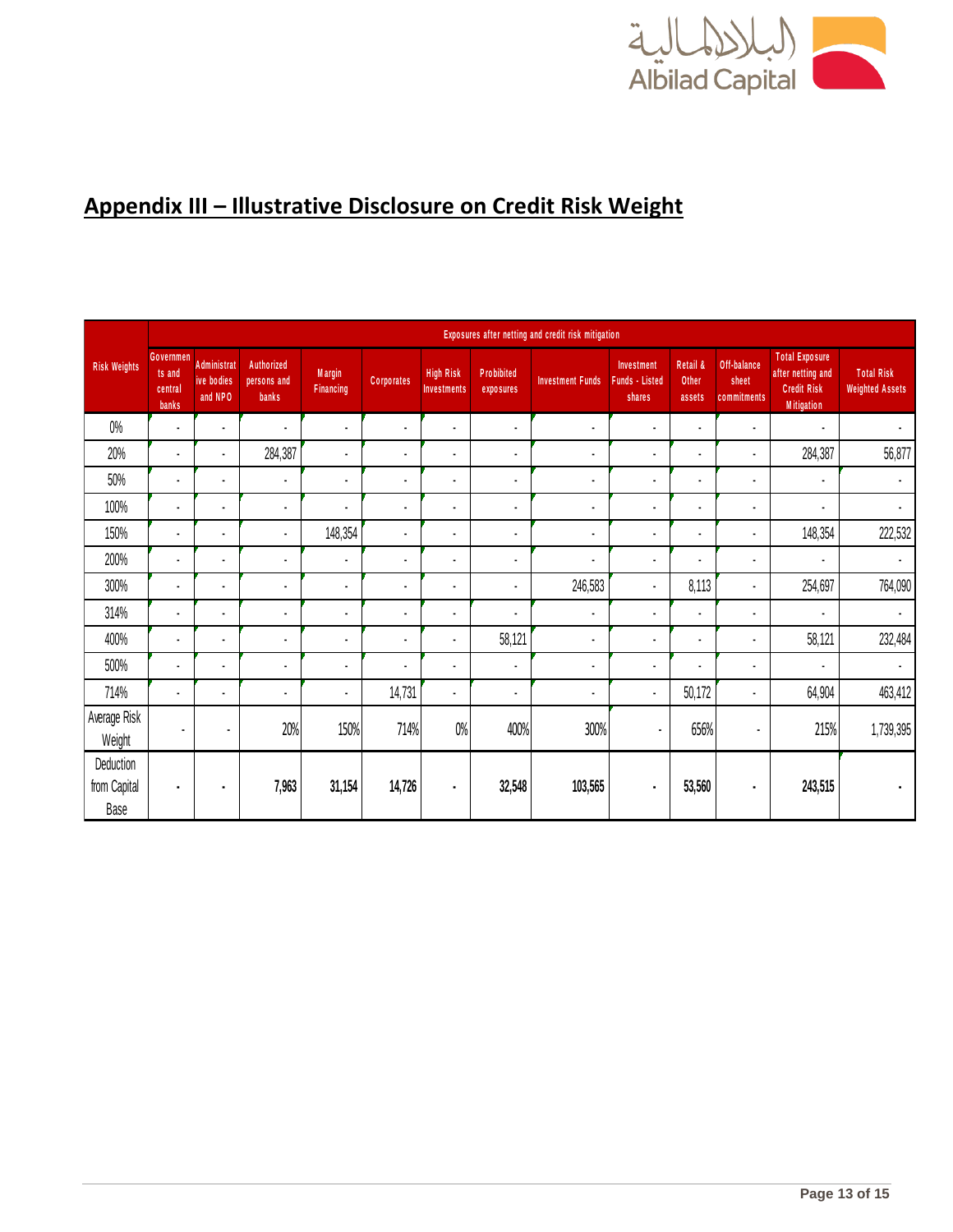

## **Appendix III – Illustrative Disclosure on Credit Risk Weight**

|                                   |                                         | Exposures after netting and credit risk mitigation |                                    |                                   |                   |                                        |                                |                          |                                               |                             |                                     |                                                                                       |                                             |
|-----------------------------------|-----------------------------------------|----------------------------------------------------|------------------------------------|-----------------------------------|-------------------|----------------------------------------|--------------------------------|--------------------------|-----------------------------------------------|-----------------------------|-------------------------------------|---------------------------------------------------------------------------------------|---------------------------------------------|
| <b>Risk Weights</b>               | Governmen<br>ts and<br>central<br>banks | <b>Administrat</b><br>ive bodies<br>and NPO        | Authorized<br>persons and<br>banks | <b>Margin</b><br><b>Financing</b> | <b>Corporates</b> | <b>High Risk</b><br><b>Investments</b> | <b>Probibited</b><br>exposures | <b>Investment Funds</b>  | Investment<br><b>Funds - Listed</b><br>shares | Retail &<br>Other<br>assets | Off-balance<br>sheet<br>commitments | <b>Total Exposure</b><br>after netting and<br><b>Credit Risk</b><br><b>Mitigation</b> | <b>Total Risk</b><br><b>Weighted Assets</b> |
| $0\%$                             | ä,                                      | $\blacksquare$                                     | $\blacksquare$                     | ä,                                | $\blacksquare$    | $\blacksquare$                         | $\blacksquare$                 | $\overline{\phantom{a}}$ | $\blacksquare$                                | ä,                          | $\blacksquare$                      | $\blacksquare$                                                                        | $\blacksquare$                              |
| 20%                               | $\blacksquare$                          | $\blacksquare$                                     | 284,387                            | $\blacksquare$                    | $\blacksquare$    | $\blacksquare$                         | $\blacksquare$                 |                          | $\blacksquare$                                | $\blacksquare$              | ٠                                   | 284,387                                                                               | 56,877                                      |
| 50%                               | $\blacksquare$                          | $\blacksquare$                                     | $\blacksquare$                     |                                   | $\blacksquare$    | $\blacksquare$                         | $\blacksquare$                 |                          | $\blacksquare$                                | $\blacksquare$              | $\blacksquare$                      | $\blacksquare$                                                                        | $\blacksquare$                              |
| 100%                              | $\blacksquare$                          | ٠                                                  | $\ddot{\phantom{a}}$               |                                   | $\blacksquare$    | $\blacksquare$                         | $\blacksquare$                 |                          | $\blacksquare$                                | $\blacksquare$              | $\blacksquare$                      | $\blacksquare$                                                                        | $\blacksquare$                              |
| 150%                              | $\blacksquare$                          |                                                    | $\blacksquare$                     | 148,354                           | $\blacksquare$    | $\blacksquare$                         | $\blacksquare$                 |                          | $\blacksquare$                                | $\blacksquare$              | ٠                                   | 148,354                                                                               | 222,532                                     |
| 200%                              | $\blacksquare$                          | $\blacksquare$                                     | $\blacksquare$                     |                                   | ٠                 | $\blacksquare$                         | $\blacksquare$                 |                          | $\blacksquare$                                | ٠                           | $\blacksquare$                      | ×,                                                                                    | $\blacksquare$                              |
| 300%                              | $\blacksquare$                          | $\blacksquare$                                     | $\blacksquare$                     | $\blacksquare$                    | ٠                 | $\blacksquare$                         | $\blacksquare$                 | 246,583                  | $\blacksquare$                                | 8,113                       | $\blacksquare$                      | 254,697                                                                               | 764,090                                     |
| 314%                              | $\blacksquare$                          |                                                    |                                    |                                   | ٠                 | $\blacksquare$                         | $\blacksquare$                 |                          | $\blacksquare$                                | $\blacksquare$              | ٠                                   | $\blacksquare$                                                                        | $\blacksquare$                              |
| 400%                              | ä,                                      | $\overline{\phantom{a}}$                           | $\blacksquare$                     | $\overline{\phantom{a}}$          | $\blacksquare$    | $\blacksquare$                         | 58,121                         | $\blacksquare$           | $\blacksquare$                                | $\blacksquare$              | $\blacksquare$                      | 58,121                                                                                | 232,484                                     |
| 500%                              | $\blacksquare$                          | $\blacksquare$                                     | ٠                                  | $\blacksquare$                    | ٠                 | $\blacksquare$                         | $\blacksquare$                 |                          | $\blacksquare$                                | $\blacksquare$              | ٠                                   | $\blacksquare$                                                                        | $\blacksquare$                              |
| 714%                              | $\blacksquare$                          | $\blacksquare$                                     | $\blacksquare$                     |                                   | 14,731            | $\blacksquare$                         | $\blacksquare$                 | $\blacksquare$           | $\blacksquare$                                | 50,172                      | $\blacksquare$                      | 64,904                                                                                | 463,412                                     |
| Average Risk<br>Weight            | ٠                                       | ٠                                                  | 20%                                | 150%                              | 714%              | $0\%$                                  | 400%                           | 300%                     | ٠                                             | 656%                        | $\blacksquare$                      | 215%                                                                                  | 1,739,395                                   |
| Deduction<br>from Capital<br>Base | $\blacksquare$                          | ٠                                                  | 7,963                              | 31,154                            | 14,726            | ٠                                      | 32,548                         | 103,565                  | $\blacksquare$                                | 53,560                      | ٠                                   | 243,515                                                                               | $\blacksquare$                              |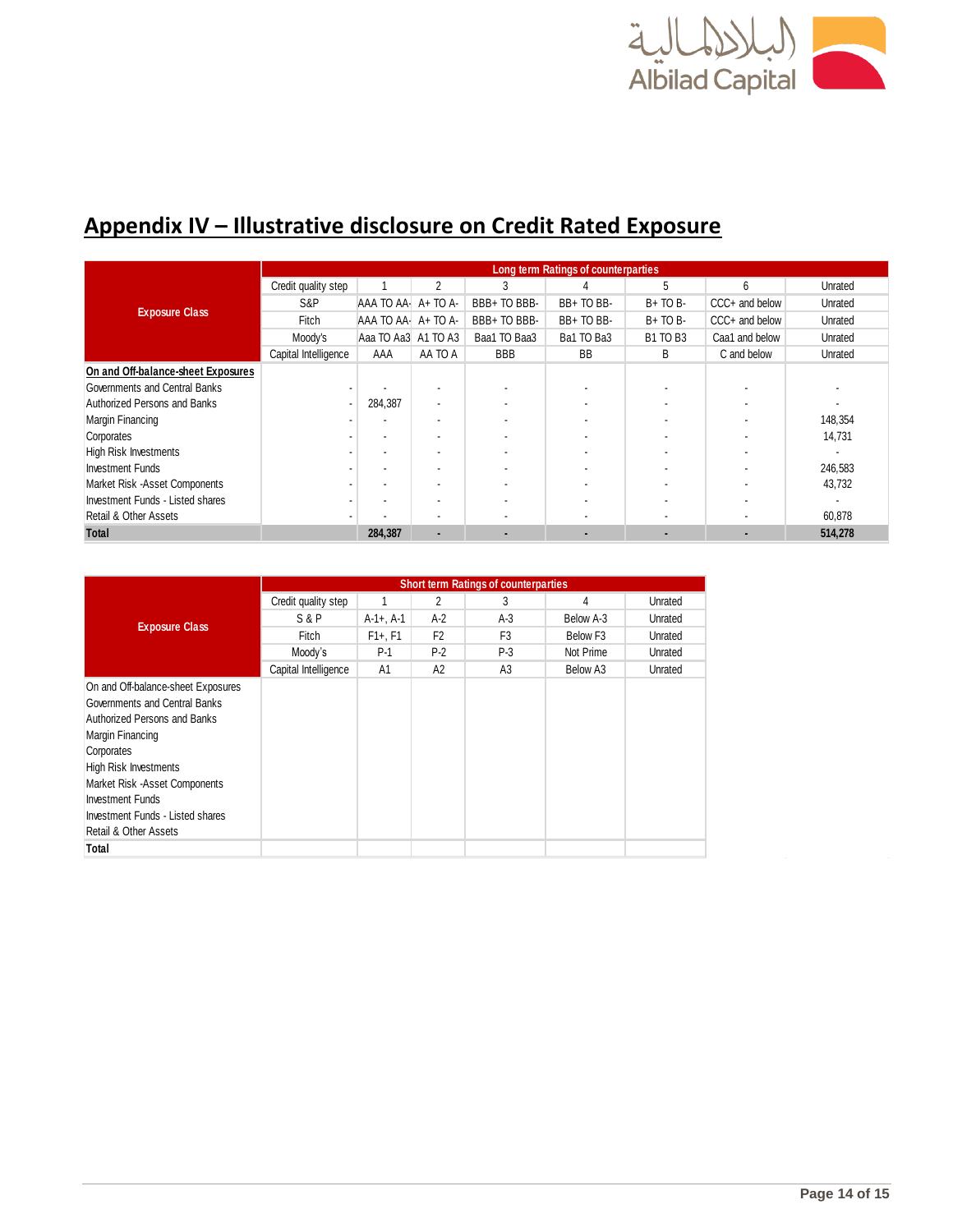

## **Appendix IV – Illustrative disclosure on Credit Rated Exposure**

|                                    | Long term Ratings of counterparties |                     |                          |              |            |                 |                |         |  |  |
|------------------------------------|-------------------------------------|---------------------|--------------------------|--------------|------------|-----------------|----------------|---------|--|--|
|                                    | Credit quality step                 |                     | 2                        | 3            |            | 5               | 6              | Unrated |  |  |
| <b>Exposure Class</b>              | S&P                                 | AAA TO AA A+ TO A-  |                          | BBB+ TO BBB- | BB+TO BB-  | $B+TOB-$        | CCC+ and below | Unrated |  |  |
|                                    | Fitch                               | AAA TO AA A+ TO A-  |                          | BBB+ TO BBB- | BB+TO BB-  | $B+TOB-$        | CCC+ and below | Unrated |  |  |
|                                    | Moody's                             | Aaa TO Aa3 A1 TO A3 |                          | Baa1 TO Baa3 | Ba1 TO Ba3 | <b>B1 TO B3</b> | Caa1 and below | Unrated |  |  |
|                                    | Capital Intelligence                | AAA                 | AA TO A                  | <b>BBB</b>   | <b>BB</b>  | B               | C and below    | Unrated |  |  |
| On and Off-balance-sheet Exposures |                                     |                     |                          |              |            |                 |                |         |  |  |
| Governments and Central Banks      |                                     |                     |                          |              |            |                 |                |         |  |  |
| Authorized Persons and Banks       |                                     | 284,387             | $\overline{\phantom{a}}$ |              |            |                 |                |         |  |  |
| Margin Financing                   |                                     |                     |                          |              |            |                 |                | 148,354 |  |  |
| Corporates                         |                                     |                     |                          |              |            |                 |                | 14,731  |  |  |
| <b>High Risk Investments</b>       |                                     |                     | $\overline{\phantom{a}}$ |              |            |                 |                |         |  |  |
| <b>Investment Funds</b>            |                                     |                     |                          |              |            |                 |                | 246,583 |  |  |
| Market Risk -Asset Components      |                                     |                     |                          |              |            |                 |                | 43,732  |  |  |
| Investment Funds - Listed shares   |                                     |                     |                          |              |            |                 |                |         |  |  |
| Retail & Other Assets              |                                     |                     |                          |              |            |                 |                | 60,878  |  |  |
| <b>Total</b>                       |                                     | 284,387             |                          | ٠            |            | $\blacksquare$  |                | 514,278 |  |  |

|                                                                                                                                                                                                                                                                                          | <b>Short term Ratings of counterparties</b> |                |                |                |                      |         |  |  |  |
|------------------------------------------------------------------------------------------------------------------------------------------------------------------------------------------------------------------------------------------------------------------------------------------|---------------------------------------------|----------------|----------------|----------------|----------------------|---------|--|--|--|
|                                                                                                                                                                                                                                                                                          | Credit quality step                         | 1              | 2              | 3              | 4                    | Unrated |  |  |  |
|                                                                                                                                                                                                                                                                                          | S&P                                         | $A-1+$ , $A-1$ | $A-2$          | $A-3$          | Below A-3            | Unrated |  |  |  |
| <b>Exposure Class</b>                                                                                                                                                                                                                                                                    | Fitch                                       | $F1+, F1$      | F <sub>2</sub> | F <sub>3</sub> | Below F <sub>3</sub> | Unrated |  |  |  |
|                                                                                                                                                                                                                                                                                          | Moody's                                     | $P-1$          | $P-2$          | $P-3$          | Not Prime            | Unrated |  |  |  |
|                                                                                                                                                                                                                                                                                          | Capital Intelligence                        | A1             | A2             | A <sub>3</sub> | Below A3             | Unrated |  |  |  |
| On and Off-balance-sheet Exposures<br>Governments and Central Banks<br>Authorized Persons and Banks<br>Margin Financing<br>Corporates<br><b>High Risk Investments</b><br>Market Risk - Asset Components<br>Investment Funds<br>Investment Funds - Listed shares<br>Retail & Other Assets |                                             |                |                |                |                      |         |  |  |  |
| Total                                                                                                                                                                                                                                                                                    |                                             |                |                |                |                      |         |  |  |  |